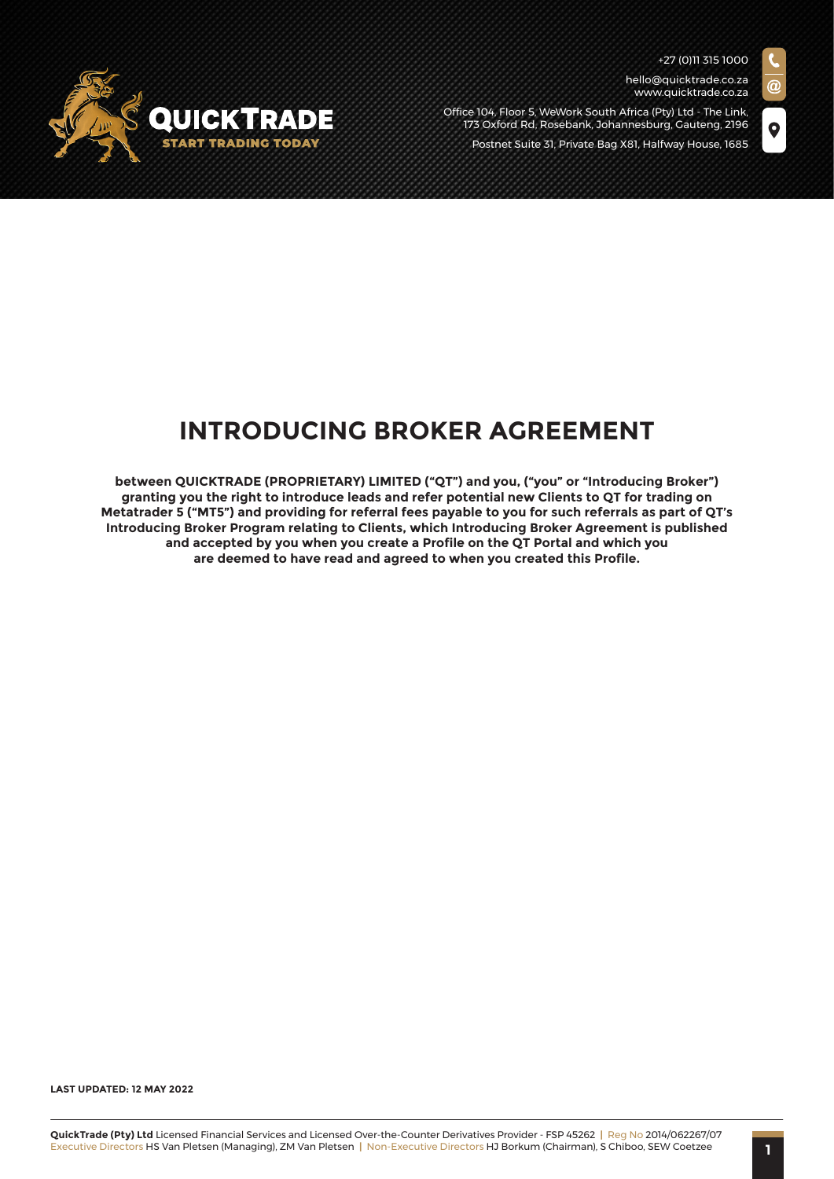$\bullet$ 

hello@quicktrade.co.za www.quicktrade.co.za





# **INTRODUCING BROKER AGREEMENT**

**between QUICKTRADE (PROPRIETARY) LIMITED ("QT") and you, ("you" or "Introducing Broker") granting you the right to introduce leads and refer potential new Clients to QT for trading on Metatrader 5 ("MT5") and providing for referral fees payable to you for such referrals as part of QT's Introducing Broker Program relating to Clients, which Introducing Broker Agreement is published and accepted by you when you create a Profile on the QT Portal and which you are deemed to have read and agreed to when you created this Profile.**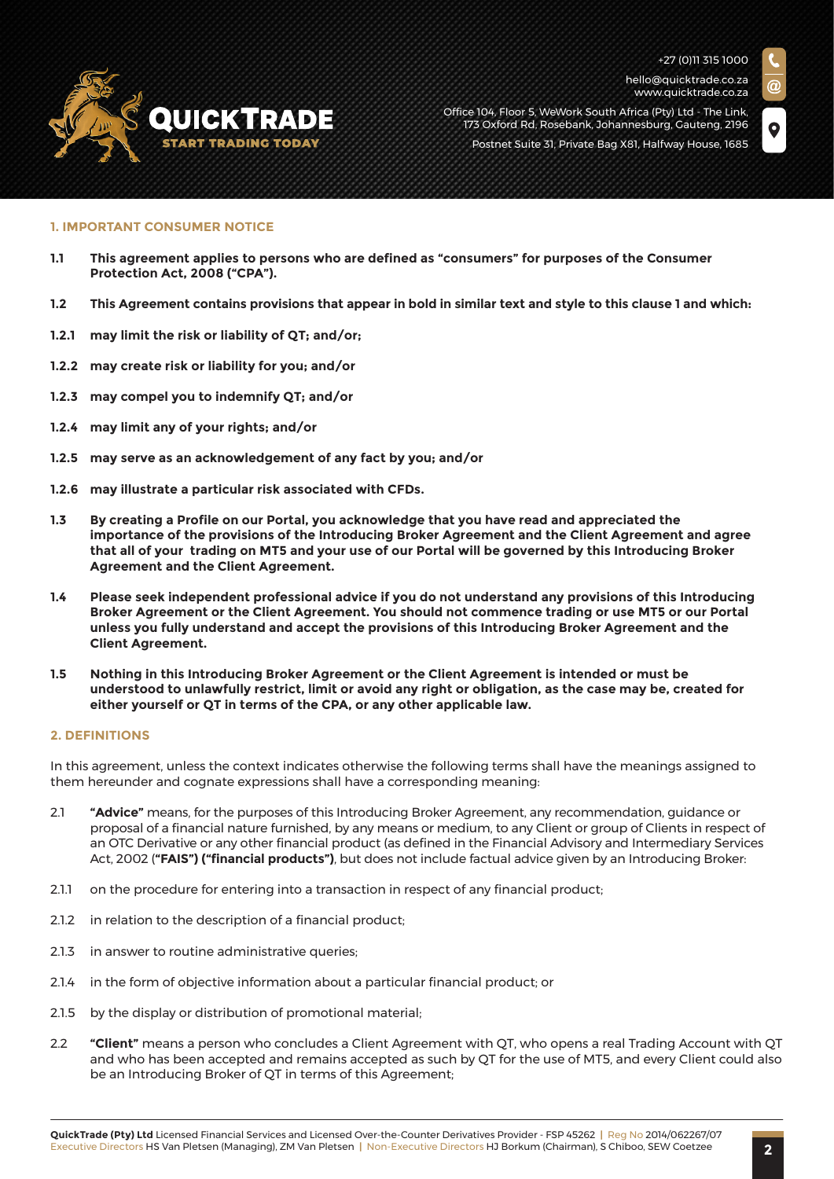

hello@quicktrade.co.za www.quicktrade.co.za



Office 104, Floor 5, WeWork South Africa (Pty) Ltd - The Link, 173 Oxford Rd, Rosebank, Johannesburg, Gauteng, 2196 Postnet Suite 31, Private Bag X81, Halfway House, 1685

#### **1. IMPORTANT CONSUMER NOTICE**

- **1.1 This agreement applies to persons who are defined as "consumers" for purposes of the Consumer Protection Act, 2008 ("CPA").**
- **1.2 This Agreement contains provisions that appear in bold in similar text and style to this clause 1 and which:**
- **1.2.1 may limit the risk or liability of QT; and/or;**
- **1.2.2 may create risk or liability for you; and/or**
- **1.2.3 may compel you to indemnify QT; and/or**
- **1.2.4 may limit any of your rights; and/or**
- **1.2.5 may serve as an acknowledgement of any fact by you; and/or**
- **1.2.6 may illustrate a particular risk associated with CFDs.**
- **1.3 By creating a Profile on our Portal, you acknowledge that you have read and appreciated the importance of the provisions of the Introducing Broker Agreement and the Client Agreement and agree that all of your trading on MT5 and your use of our Portal will be governed by this Introducing Broker Agreement and the Client Agreement.**
- **1.4 Please seek independent professional advice if you do not understand any provisions of this Introducing Broker Agreement or the Client Agreement. You should not commence trading or use MT5 or our Portal unless you fully understand and accept the provisions of this Introducing Broker Agreement and the Client Agreement.**
- **1.5 Nothing in this Introducing Broker Agreement or the Client Agreement is intended or must be understood to unlawfully restrict, limit or avoid any right or obligation, as the case may be, created for either yourself or QT in terms of the CPA, or any other applicable law.**

#### **2. DEFINITIONS**

In this agreement, unless the context indicates otherwise the following terms shall have the meanings assigned to them hereunder and cognate expressions shall have a corresponding meaning:

- 2.1 **"Advice"** means, for the purposes of this Introducing Broker Agreement, any recommendation, guidance or proposal of a financial nature furnished, by any means or medium, to any Client or group of Clients in respect of an OTC Derivative or any other financial product (as defined in the Financial Advisory and Intermediary Services Act, 2002 (**"FAIS") ("financial products")**, but does not include factual advice given by an Introducing Broker:
- 2.1.1 on the procedure for entering into a transaction in respect of any financial product;
- 2.1.2 in relation to the description of a financial product;
- 2.1.3 in answer to routine administrative queries:
- 2.1.4 in the form of objective information about a particular financial product; or
- 2.1.5 by the display or distribution of promotional material;
- 2.2 **"Client"** means a person who concludes a Client Agreement with QT, who opens a real Trading Account with QT and who has been accepted and remains accepted as such by QT for the use of MT5, and every Client could also be an Introducing Broker of QT in terms of this Agreement;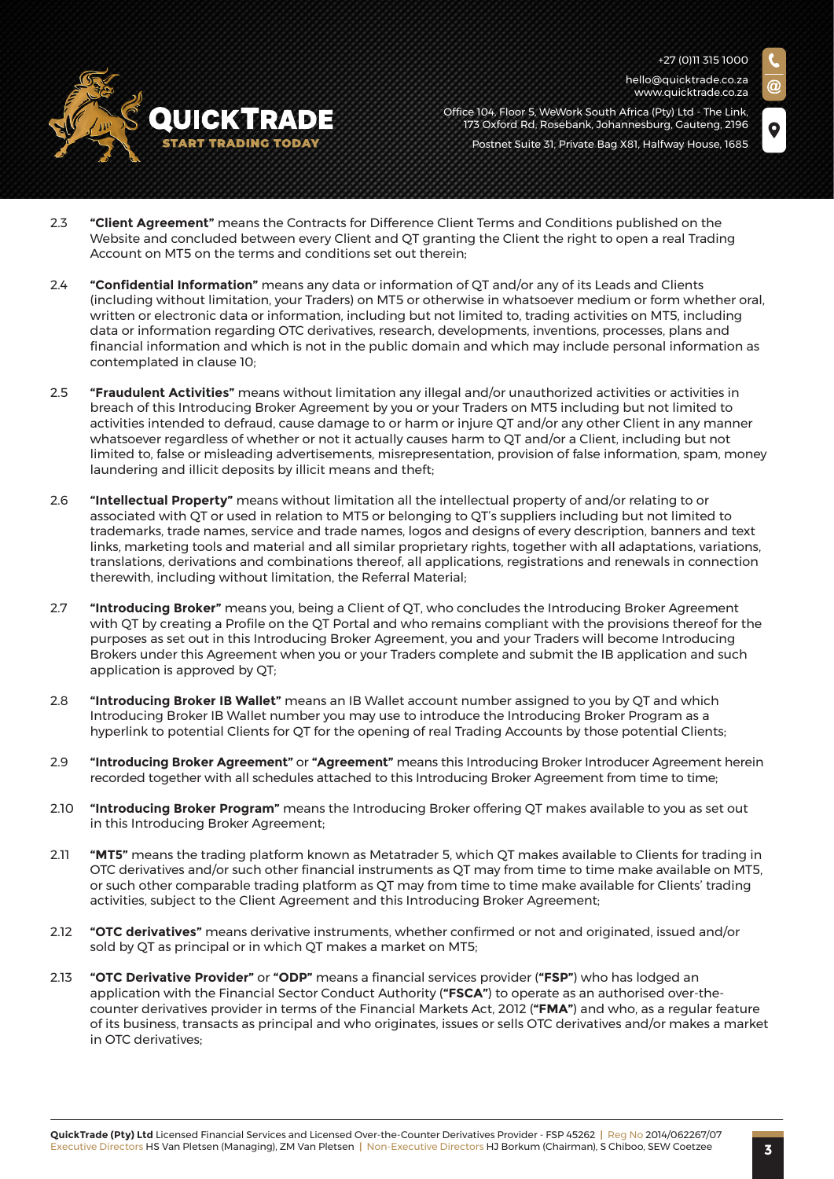

hello@quicktrade.co.za www.quicktrade.co.za

- Office 104, Floor 5, WeWork South Africa (Pty) Ltd The Link, 173 Oxford Rd, Rosebank, Johannesburg, Gauteng, 2196 Postnet Suite 31, Private Bag X81, Halfway House, 1685
- 2.3 **"Client Agreement"** means the Contracts for Difference Client Terms and Conditions published on the Website and concluded between every Client and QT granting the Client the right to open a real Trading Account on MT5 on the terms and conditions set out therein;
- 2.4 **"Confidential Information"** means any data or information of QT and/or any of its Leads and Clients (including without limitation, your Traders) on MT5 or otherwise in whatsoever medium or form whether oral, written or electronic data or information, including but not limited to, trading activities on MT5, including data or information regarding OTC derivatives, research, developments, inventions, processes, plans and financial information and which is not in the public domain and which may include personal information as contemplated in clause 10;
- 2.5 **"Fraudulent Activities"** means without limitation any illegal and/or unauthorized activities or activities in breach of this Introducing Broker Agreement by you or your Traders on MT5 including but not limited to activities intended to defraud, cause damage to or harm or injure QT and/or any other Client in any manner whatsoever regardless of whether or not it actually causes harm to QT and/or a Client, including but not limited to, false or misleading advertisements, misrepresentation, provision of false information, spam, money laundering and illicit deposits by illicit means and theft;
- 2.6 **"Intellectual Property"** means without limitation all the intellectual property of and/or relating to or associated with QT or used in relation to MT5 or belonging to QT's suppliers including but not limited to trademarks, trade names, service and trade names, logos and designs of every description, banners and text links, marketing tools and material and all similar proprietary rights, together with all adaptations, variations, translations, derivations and combinations thereof, all applications, registrations and renewals in connection therewith, including without limitation, the Referral Material;
- 2.7 **"Introducing Broker"** means you, being a Client of QT, who concludes the Introducing Broker Agreement with QT by creating a Profile on the QT Portal and who remains compliant with the provisions thereof for the purposes as set out in this Introducing Broker Agreement, you and your Traders will become Introducing Brokers under this Agreement when you or your Traders complete and submit the IB application and such application is approved by QT;
- 2.8 **"Introducing Broker IB Wallet"** means an IB Wallet account number assigned to you by QT and which Introducing Broker IB Wallet number you may use to introduce the Introducing Broker Program as a hyperlink to potential Clients for QT for the opening of real Trading Accounts by those potential Clients;
- 2.9 **"Introducing Broker Agreement"** or **"Agreement"** means this Introducing Broker Introducer Agreement herein recorded together with all schedules attached to this Introducing Broker Agreement from time to time;
- 2.10 **"Introducing Broker Program"** means the Introducing Broker offering QT makes available to you as set out in this Introducing Broker Agreement;
- 2.11 **"MT5"** means the trading platform known as Metatrader 5, which QT makes available to Clients for trading in OTC derivatives and/or such other financial instruments as QT may from time to time make available on MT5, or such other comparable trading platform as QT may from time to time make available for Clients' trading activities, subject to the Client Agreement and this Introducing Broker Agreement;
- 2.12 **"OTC derivatives"** means derivative instruments, whether confirmed or not and originated, issued and/or sold by QT as principal or in which QT makes a market on MT5;
- 2.13 **"OTC Derivative Provider"** or **"ODP"** means a financial services provider (**"FSP"**) who has lodged an application with the Financial Sector Conduct Authority (**"FSCA"**) to operate as an authorised over-thecounter derivatives provider in terms of the Financial Markets Act, 2012 (**"FMA"**) and who, as a regular feature of its business, transacts as principal and who originates, issues or sells OTC derivatives and/or makes a market in OTC derivatives;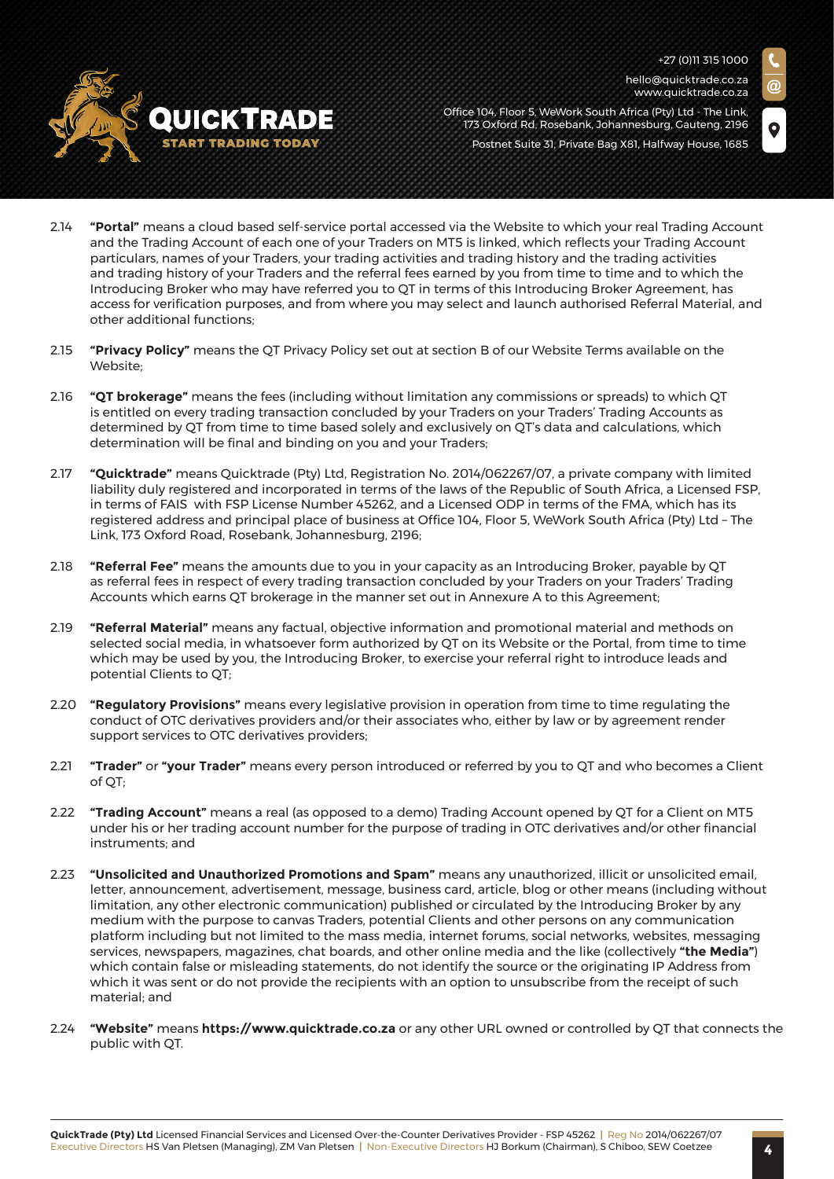hello@quicktrade.co.za www.quicktrade.co.za



Office 104, Floor 5, WeWork South Africa (Pty) Ltd - The Link, 173 Oxford Rd, Rosebank, Johannesburg, Gauteng, 2196 Postnet Suite 31, Private Bag X81, Halfway House, 1685

- 2.14 **"Portal"** means a cloud based self-service portal accessed via the Website to which your real Trading Account and the Trading Account of each one of your Traders on MT5 is linked, which reflects your Trading Account particulars, names of your Traders, your trading activities and trading history and the trading activities and trading history of your Traders and the referral fees earned by you from time to time and to which the Introducing Broker who may have referred you to QT in terms of this Introducing Broker Agreement, has access for verification purposes, and from where you may select and launch authorised Referral Material, and other additional functions;
- 2.15 **"Privacy Policy"** means the QT Privacy Policy set out at section B of our Website Terms available on the Website;
- 2.16 **"QT brokerage"** means the fees (including without limitation any commissions or spreads) to which QT is entitled on every trading transaction concluded by your Traders on your Traders' Trading Accounts as determined by QT from time to time based solely and exclusively on QT's data and calculations, which determination will be final and binding on you and your Traders;
- 2.17 **"Quicktrade"** means Quicktrade (Pty) Ltd, Registration No. 2014/062267/07, a private company with limited liability duly registered and incorporated in terms of the laws of the Republic of South Africa, a Licensed FSP, in terms of FAIS with FSP License Number 45262, and a Licensed ODP in terms of the FMA, which has its registered address and principal place of business at Office 104, Floor 5, WeWork South Africa (Pty) Ltd – The Link, 173 Oxford Road, Rosebank, Johannesburg, 2196;
- 2.18 **"Referral Fee"** means the amounts due to you in your capacity as an Introducing Broker, payable by QT as referral fees in respect of every trading transaction concluded by your Traders on your Traders' Trading Accounts which earns QT brokerage in the manner set out in Annexure A to this Agreement;
- 2.19 **"Referral Material"** means any factual, objective information and promotional material and methods on selected social media, in whatsoever form authorized by QT on its Website or the Portal, from time to time which may be used by you, the Introducing Broker, to exercise your referral right to introduce leads and potential Clients to QT;
- 2.20 **"Regulatory Provisions"** means every legislative provision in operation from time to time regulating the conduct of OTC derivatives providers and/or their associates who, either by law or by agreement render support services to OTC derivatives providers;
- 2.21 **"Trader"** or **"your Trader"** means every person introduced or referred by you to QT and who becomes a Client of QT;
- 2.22 **"Trading Account"** means a real (as opposed to a demo) Trading Account opened by QT for a Client on MT5 under his or her trading account number for the purpose of trading in OTC derivatives and/or other financial instruments; and
- 2.23 **"Unsolicited and Unauthorized Promotions and Spam"** means any unauthorized, illicit or unsolicited email, letter, announcement, advertisement, message, business card, article, blog or other means (including without limitation, any other electronic communication) published or circulated by the Introducing Broker by any medium with the purpose to canvas Traders, potential Clients and other persons on any communication platform including but not limited to the mass media, internet forums, social networks, websites, messaging services, newspapers, magazines, chat boards, and other online media and the like (collectively **"the Media"**) which contain false or misleading statements, do not identify the source or the originating IP Address from which it was sent or do not provide the recipients with an option to unsubscribe from the receipt of such material; and
- 2.24 **"Website"** means **https://www.quicktrade.co.za** or any other URL owned or controlled by QT that connects the public with QT.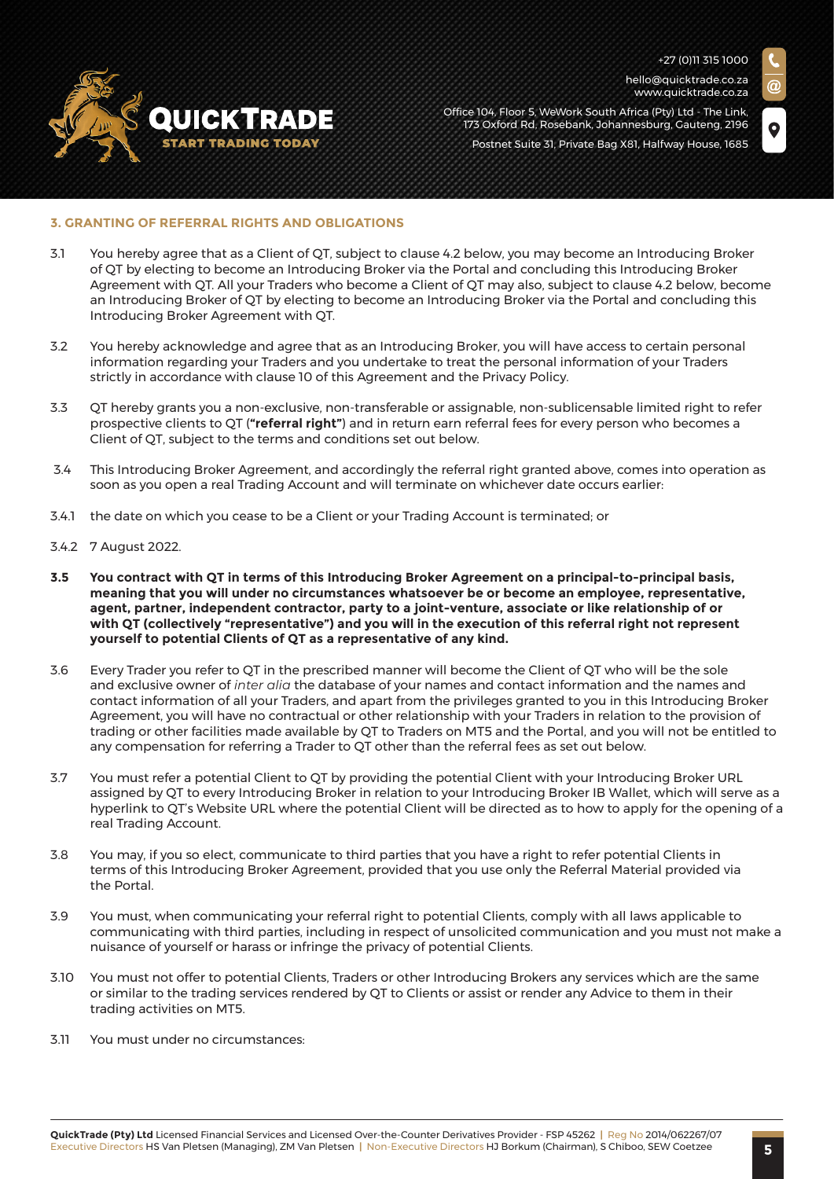

hello@quicktrade.co.za www.quicktrade.co.za

Office 104, Floor 5, WeWork South Africa (Pty) Ltd - The Link, 173 Oxford Rd, Rosebank, Johannesburg, Gauteng, 2196 Postnet Suite 31, Private Bag X81, Halfway House, 1685

# **3. GRANTING OF REFERRAL RIGHTS AND OBLIGATIONS**

- 3.1 You hereby agree that as a Client of QT, subject to clause 4.2 below, you may become an Introducing Broker of QT by electing to become an Introducing Broker via the Portal and concluding this Introducing Broker Agreement with QT. All your Traders who become a Client of QT may also, subject to clause 4.2 below, become an Introducing Broker of QT by electing to become an Introducing Broker via the Portal and concluding this Introducing Broker Agreement with QT.
- 3.2 You hereby acknowledge and agree that as an Introducing Broker, you will have access to certain personal information regarding your Traders and you undertake to treat the personal information of your Traders strictly in accordance with clause 10 of this Agreement and the Privacy Policy.
- 3.3 QT hereby grants you a non-exclusive, non-transferable or assignable, non-sublicensable limited right to refer prospective clients to QT (**"referral right"**) and in return earn referral fees for every person who becomes a Client of QT, subject to the terms and conditions set out below.
- 3.4 This Introducing Broker Agreement, and accordingly the referral right granted above, comes into operation as soon as you open a real Trading Account and will terminate on whichever date occurs earlier:
- 3.4.1 the date on which you cease to be a Client or your Trading Account is terminated; or
- 3.4.2 7 August 2022.
- **3.5 You contract with QT in terms of this Introducing Broker Agreement on a principal-to-principal basis, meaning that you will under no circumstances whatsoever be or become an employee, representative, agent, partner, independent contractor, party to a joint-venture, associate or like relationship of or with QT (collectively "representative") and you will in the execution of this referral right not represent yourself to potential Clients of QT as a representative of any kind.**
- 3.6 Every Trader you refer to QT in the prescribed manner will become the Client of QT who will be the sole and exclusive owner of *inter alia* the database of your names and contact information and the names and contact information of all your Traders, and apart from the privileges granted to you in this Introducing Broker Agreement, you will have no contractual or other relationship with your Traders in relation to the provision of trading or other facilities made available by QT to Traders on MT5 and the Portal, and you will not be entitled to any compensation for referring a Trader to QT other than the referral fees as set out below.
- 3.7 You must refer a potential Client to QT by providing the potential Client with your Introducing Broker URL assigned by QT to every Introducing Broker in relation to your Introducing Broker IB Wallet, which will serve as a hyperlink to QT's Website URL where the potential Client will be directed as to how to apply for the opening of a real Trading Account.
- 3.8 You may, if you so elect, communicate to third parties that you have a right to refer potential Clients in terms of this Introducing Broker Agreement, provided that you use only the Referral Material provided via the Portal.
- 3.9 You must, when communicating your referral right to potential Clients, comply with all laws applicable to communicating with third parties, including in respect of unsolicited communication and you must not make a nuisance of yourself or harass or infringe the privacy of potential Clients.
- 3.10 You must not offer to potential Clients, Traders or other Introducing Brokers any services which are the same or similar to the trading services rendered by QT to Clients or assist or render any Advice to them in their trading activities on MT5.
- 3.11 You must under no circumstances: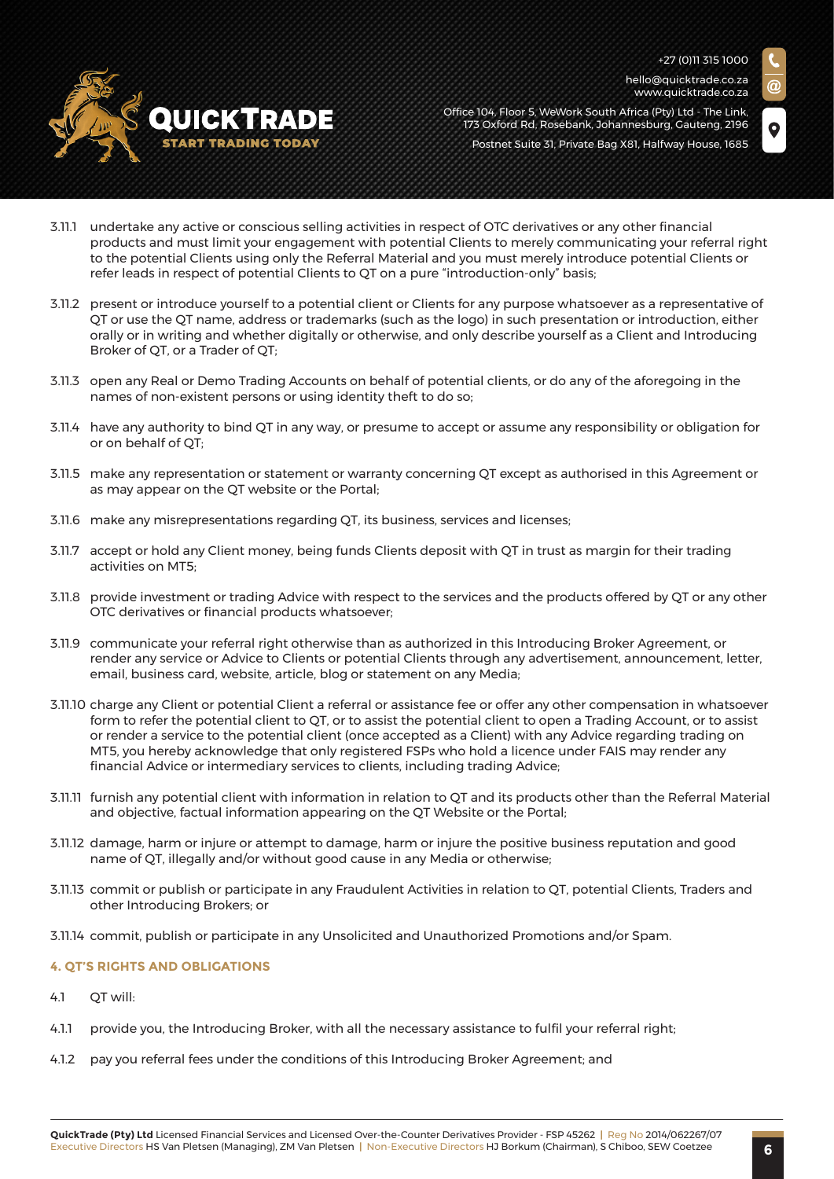hello@quicktrade.co.za www.quicktrade.co.za



Office 104, Floor 5, WeWork South Africa (Pty) Ltd - The Link, 173 Oxford Rd, Rosebank, Johannesburg, Gauteng, 2196 Postnet Suite 31, Private Bag X81, Halfway House, 1685



- 3.11.1 undertake any active or conscious selling activities in respect of OTC derivatives or any other financial products and must limit your engagement with potential Clients to merely communicating your referral right to the potential Clients using only the Referral Material and you must merely introduce potential Clients or refer leads in respect of potential Clients to QT on a pure "introduction-only" basis;
- 3.11.2 present or introduce yourself to a potential client or Clients for any purpose whatsoever as a representative of QT or use the QT name, address or trademarks (such as the logo) in such presentation or introduction, either orally or in writing and whether digitally or otherwise, and only describe yourself as a Client and Introducing Broker of QT, or a Trader of QT;
- 3.11.3 open any Real or Demo Trading Accounts on behalf of potential clients, or do any of the aforegoing in the names of non-existent persons or using identity theft to do so;
- 3.11.4 have any authority to bind QT in any way, or presume to accept or assume any responsibility or obligation for or on behalf of QT;
- 3.11.5 make any representation or statement or warranty concerning QT except as authorised in this Agreement or as may appear on the QT website or the Portal;
- 3.11.6 make any misrepresentations regarding QT, its business, services and licenses;
- 3.11.7 accept or hold any Client money, being funds Clients deposit with QT in trust as margin for their trading activities on MT5;
- 3.11.8 provide investment or trading Advice with respect to the services and the products offered by QT or any other OTC derivatives or financial products whatsoever;
- 3.11.9 communicate your referral right otherwise than as authorized in this Introducing Broker Agreement, or render any service or Advice to Clients or potential Clients through any advertisement, announcement, letter, email, business card, website, article, blog or statement on any Media;
- 3.11.10 charge any Client or potential Client a referral or assistance fee or offer any other compensation in whatsoever form to refer the potential client to QT, or to assist the potential client to open a Trading Account, or to assist or render a service to the potential client (once accepted as a Client) with any Advice regarding trading on MT5, you hereby acknowledge that only registered FSPs who hold a licence under FAIS may render any financial Advice or intermediary services to clients, including trading Advice;
- 3.11.11 furnish any potential client with information in relation to QT and its products other than the Referral Material and objective, factual information appearing on the QT Website or the Portal;
- 3.11.12 damage, harm or injure or attempt to damage, harm or injure the positive business reputation and good name of QT, illegally and/or without good cause in any Media or otherwise;
- 3.11.13 commit or publish or participate in any Fraudulent Activities in relation to QT, potential Clients, Traders and other Introducing Brokers; or
- 3.11.14 commit, publish or participate in any Unsolicited and Unauthorized Promotions and/or Spam.

#### **4. QT'S RIGHTS AND OBLIGATIONS**

- 4.1 OT will:
- 4.1.1 provide you, the Introducing Broker, with all the necessary assistance to fulfil your referral right;
- 4.1.2 pay you referral fees under the conditions of this Introducing Broker Agreement; and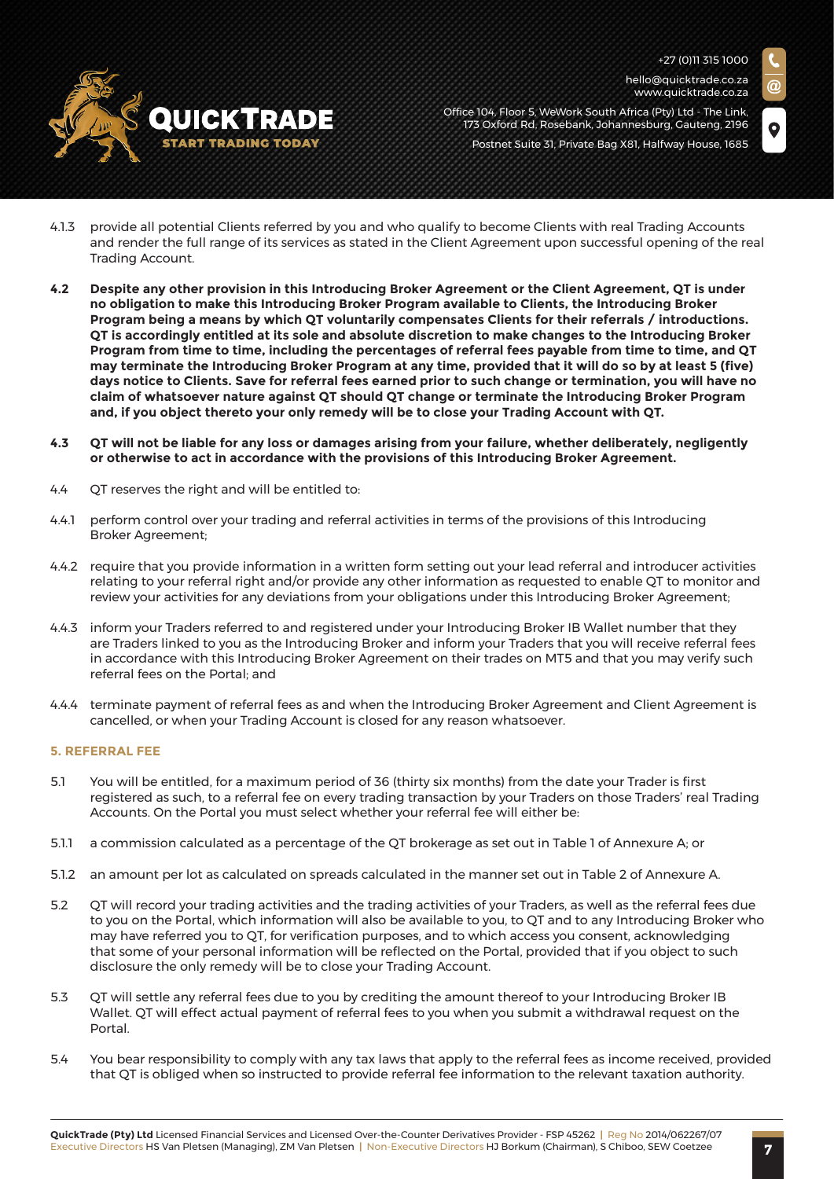

hello@quicktrade.co.za www.quicktrade.co.za

Office 104, Floor 5, WeWork South Africa (Pty) Ltd - The Link, 173 Oxford Rd, Rosebank, Johannesburg, Gauteng, 2196 Postnet Suite 31, Private Bag X81, Halfway House, 1685

- 4.1.3 provide all potential Clients referred by you and who qualify to become Clients with real Trading Accounts and render the full range of its services as stated in the Client Agreement upon successful opening of the real Trading Account.
- **4.2 Despite any other provision in this Introducing Broker Agreement or the Client Agreement, QT is under no obligation to make this Introducing Broker Program available to Clients, the Introducing Broker Program being a means by which QT voluntarily compensates Clients for their referrals / introductions. QT is accordingly entitled at its sole and absolute discretion to make changes to the Introducing Broker Program from time to time, including the percentages of referral fees payable from time to time, and QT may terminate the Introducing Broker Program at any time, provided that it will do so by at least 5 (five) days notice to Clients. Save for referral fees earned prior to such change or termination, you will have no claim of whatsoever nature against QT should QT change or terminate the Introducing Broker Program and, if you object thereto your only remedy will be to close your Trading Account with QT.**
- **4.3 QT will not be liable for any loss or damages arising from your failure, whether deliberately, negligently or otherwise to act in accordance with the provisions of this Introducing Broker Agreement.**
- 4.4 QT reserves the right and will be entitled to:
- 4.4.1 perform control over your trading and referral activities in terms of the provisions of this Introducing Broker Agreement;
- 4.4.2 require that you provide information in a written form setting out your lead referral and introducer activities relating to your referral right and/or provide any other information as requested to enable QT to monitor and review your activities for any deviations from your obligations under this Introducing Broker Agreement;
- 4.4.3 inform your Traders referred to and registered under your Introducing Broker IB Wallet number that they are Traders linked to you as the Introducing Broker and inform your Traders that you will receive referral fees in accordance with this Introducing Broker Agreement on their trades on MT5 and that you may verify such referral fees on the Portal; and
- 4.4.4 terminate payment of referral fees as and when the Introducing Broker Agreement and Client Agreement is cancelled, or when your Trading Account is closed for any reason whatsoever.

#### **5. REFERRAL FEE**

- 5.1 You will be entitled, for a maximum period of 36 (thirty six months) from the date your Trader is first registered as such, to a referral fee on every trading transaction by your Traders on those Traders' real Trading Accounts. On the Portal you must select whether your referral fee will either be:
- 5.1.1 a commission calculated as a percentage of the QT brokerage as set out in Table 1 of Annexure A; or
- 5.1.2 an amount per lot as calculated on spreads calculated in the manner set out in Table 2 of Annexure A.
- 5.2 QT will record your trading activities and the trading activities of your Traders, as well as the referral fees due to you on the Portal, which information will also be available to you, to QT and to any Introducing Broker who may have referred you to QT, for verification purposes, and to which access you consent, acknowledging that some of your personal information will be reflected on the Portal, provided that if you object to such disclosure the only remedy will be to close your Trading Account.
- 5.3 QT will settle any referral fees due to you by crediting the amount thereof to your Introducing Broker IB Wallet. QT will effect actual payment of referral fees to you when you submit a withdrawal request on the Portal.
- 5.4 You bear responsibility to comply with any tax laws that apply to the referral fees as income received, provided that QT is obliged when so instructed to provide referral fee information to the relevant taxation authority.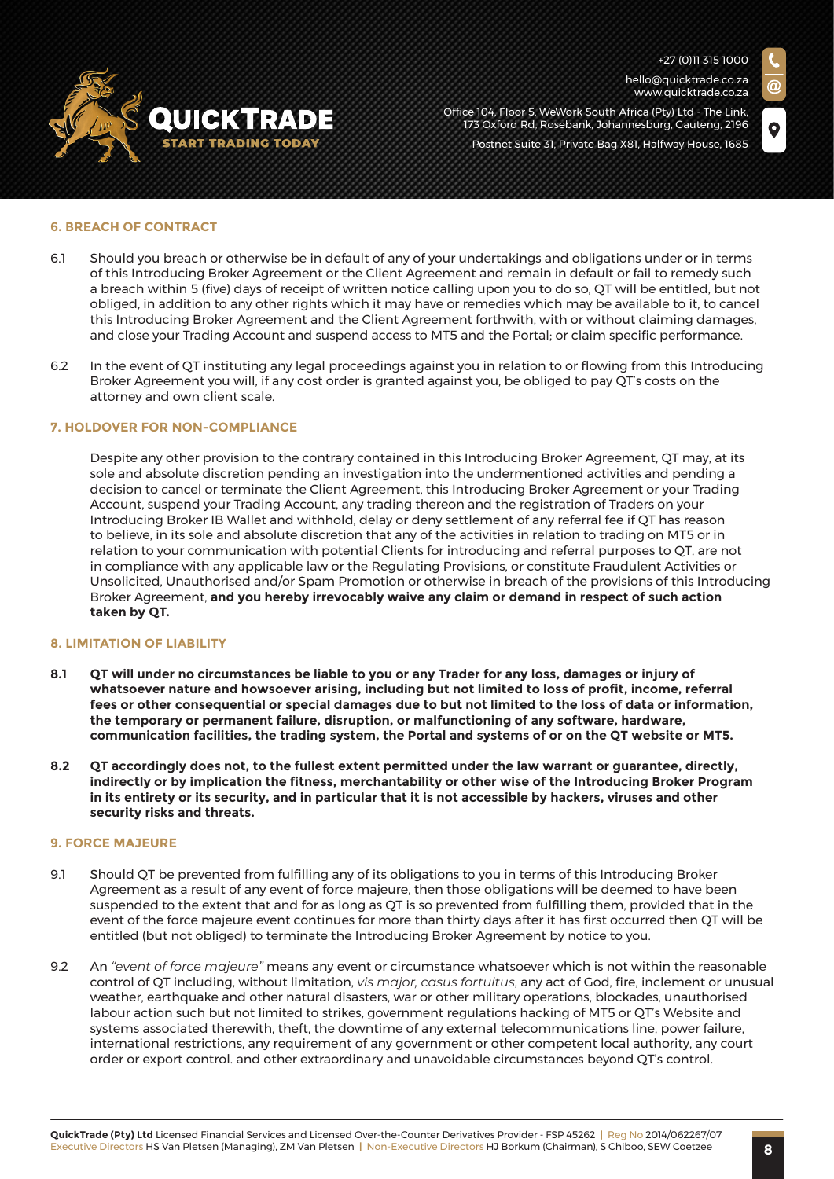

hello@quicktrade.co.za www.quicktrade.co.za

Office 104, Floor 5, WeWork South Africa (Pty) Ltd - The Link, 173 Oxford Rd, Rosebank, Johannesburg, Gauteng, 2196 Postnet Suite 31, Private Bag X81, Halfway House, 1685

**6. BREACH OF CONTRACT**

- 6.1 Should you breach or otherwise be in default of any of your undertakings and obligations under or in terms of this Introducing Broker Agreement or the Client Agreement and remain in default or fail to remedy such a breach within 5 (five) days of receipt of written notice calling upon you to do so, QT will be entitled, but not obliged, in addition to any other rights which it may have or remedies which may be available to it, to cancel this Introducing Broker Agreement and the Client Agreement forthwith, with or without claiming damages, and close your Trading Account and suspend access to MT5 and the Portal; or claim specific performance.
- 6.2 In the event of QT instituting any legal proceedings against you in relation to or flowing from this Introducing Broker Agreement you will, if any cost order is granted against you, be obliged to pay QT's costs on the attorney and own client scale.

#### **7. HOLDOVER FOR NON-COMPLIANCE**

Despite any other provision to the contrary contained in this Introducing Broker Agreement, QT may, at its sole and absolute discretion pending an investigation into the undermentioned activities and pending a decision to cancel or terminate the Client Agreement, this Introducing Broker Agreement or your Trading Account, suspend your Trading Account, any trading thereon and the registration of Traders on your Introducing Broker IB Wallet and withhold, delay or deny settlement of any referral fee if QT has reason to believe, in its sole and absolute discretion that any of the activities in relation to trading on MT5 or in relation to your communication with potential Clients for introducing and referral purposes to QT, are not in compliance with any applicable law or the Regulating Provisions, or constitute Fraudulent Activities or Unsolicited, Unauthorised and/or Spam Promotion or otherwise in breach of the provisions of this Introducing Broker Agreement, **and you hereby irrevocably waive any claim or demand in respect of such action taken by QT.**

#### **8. LIMITATION OF LIABILITY**

- **8.1 QT will under no circumstances be liable to you or any Trader for any loss, damages or injury of whatsoever nature and howsoever arising, including but not limited to loss of profit, income, referral fees or other consequential or special damages due to but not limited to the loss of data or information, the temporary or permanent failure, disruption, or malfunctioning of any software, hardware, communication facilities, the trading system, the Portal and systems of or on the QT website or MT5.**
- **8.2 QT accordingly does not, to the fullest extent permitted under the law warrant or guarantee, directly, indirectly or by implication the fitness, merchantability or other wise of the Introducing Broker Program in its entirety or its security, and in particular that it is not accessible by hackers, viruses and other security risks and threats.**

#### **9. FORCE MAJEURE**

- 9.1 Should QT be prevented from fulfilling any of its obligations to you in terms of this Introducing Broker Agreement as a result of any event of force majeure, then those obligations will be deemed to have been suspended to the extent that and for as long as QT is so prevented from fulfilling them, provided that in the event of the force majeure event continues for more than thirty days after it has first occurred then QT will be entitled (but not obliged) to terminate the Introducing Broker Agreement by notice to you.
- 9.2 An *"event of force majeure"* means any event or circumstance whatsoever which is not within the reasonable control of QT including, without limitation, *vis major, casus fortuitus*, any act of God, fire, inclement or unusual weather, earthquake and other natural disasters, war or other military operations, blockades, unauthorised labour action such but not limited to strikes, government regulations hacking of MT5 or QT's Website and systems associated therewith, theft, the downtime of any external telecommunications line, power failure, international restrictions, any requirement of any government or other competent local authority, any court order or export control. and other extraordinary and unavoidable circumstances beyond QT's control.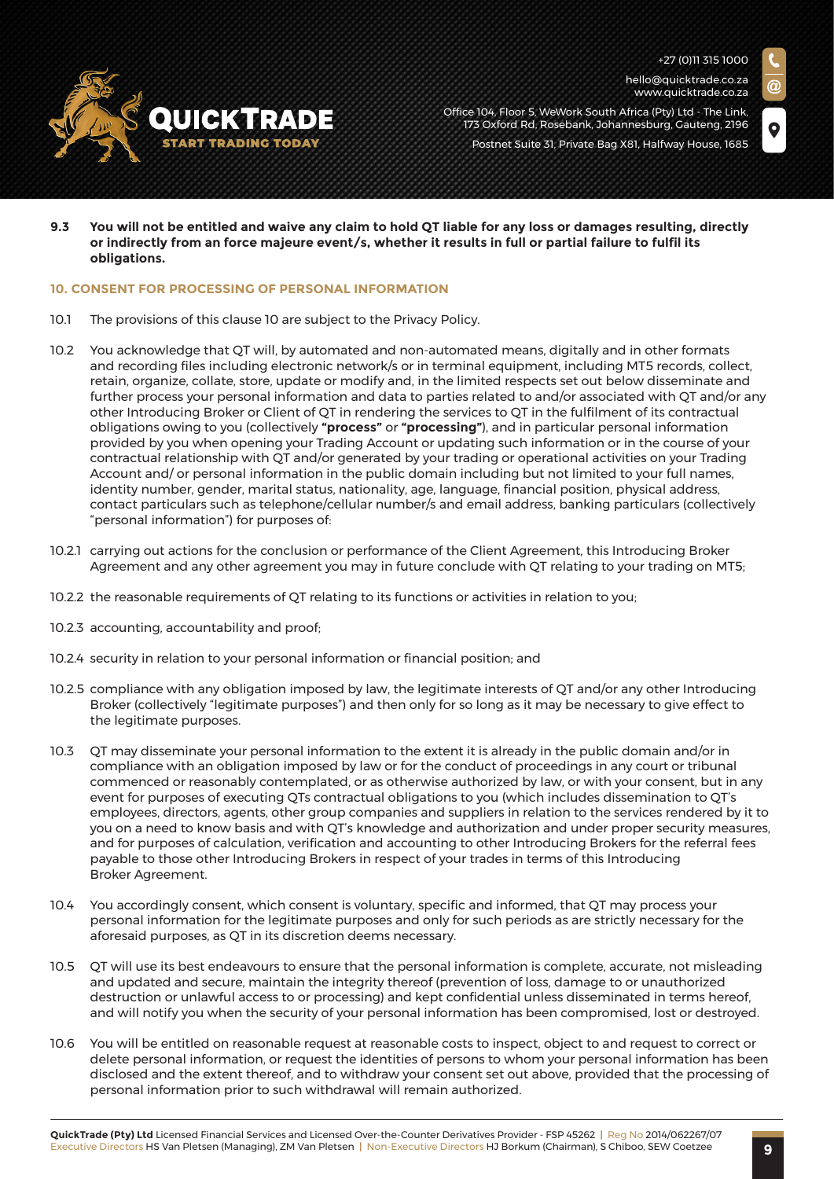

hello@quicktrade.co.za www.quicktrade.co.za

Office 104, Floor 5, WeWork South Africa (Pty) Ltd - The Link, 173 Oxford Rd, Rosebank, Johannesburg, Gauteng, 2196 Postnet Suite 31, Private Bag X81, Halfway House, 1685

**9.3 You will not be entitled and waive any claim to hold QT liable for any loss or damages resulting, directly or indirectly from an force majeure event/s, whether it results in full or partial failure to fulfil its obligations.**

#### **10. CONSENT FOR PROCESSING OF PERSONAL INFORMATION**

- 10.1 The provisions of this clause 10 are subject to the Privacy Policy.
- 10.2 You acknowledge that QT will, by automated and non-automated means, digitally and in other formats and recording files including electronic network/s or in terminal equipment, including MT5 records, collect, retain, organize, collate, store, update or modify and, in the limited respects set out below disseminate and further process your personal information and data to parties related to and/or associated with QT and/or any other Introducing Broker or Client of QT in rendering the services to QT in the fulfilment of its contractual obligations owing to you (collectively **"process"** or **"processing"**), and in particular personal information provided by you when opening your Trading Account or updating such information or in the course of your contractual relationship with QT and/or generated by your trading or operational activities on your Trading Account and/ or personal information in the public domain including but not limited to your full names, identity number, gender, marital status, nationality, age, language, financial position, physical address, contact particulars such as telephone/cellular number/s and email address, banking particulars (collectively "personal information") for purposes of:
- 10.2.1 carrying out actions for the conclusion or performance of the Client Agreement, this Introducing Broker Agreement and any other agreement you may in future conclude with QT relating to your trading on MT5;
- 10.2.2 the reasonable requirements of QT relating to its functions or activities in relation to you;
- 10.2.3 accounting, accountability and proof;
- 10.2.4 security in relation to your personal information or financial position; and
- 10.2.5 compliance with any obligation imposed by law, the legitimate interests of QT and/or any other Introducing Broker (collectively "legitimate purposes") and then only for so long as it may be necessary to give effect to the legitimate purposes.
- 10.3 QT may disseminate your personal information to the extent it is already in the public domain and/or in compliance with an obligation imposed by law or for the conduct of proceedings in any court or tribunal commenced or reasonably contemplated, or as otherwise authorized by law, or with your consent, but in any event for purposes of executing QTs contractual obligations to you (which includes dissemination to QT's employees, directors, agents, other group companies and suppliers in relation to the services rendered by it to you on a need to know basis and with QT's knowledge and authorization and under proper security measures, and for purposes of calculation, verification and accounting to other Introducing Brokers for the referral fees payable to those other Introducing Brokers in respect of your trades in terms of this Introducing Broker Agreement.
- 10.4 You accordingly consent, which consent is voluntary, specific and informed, that QT may process your personal information for the legitimate purposes and only for such periods as are strictly necessary for the aforesaid purposes, as QT in its discretion deems necessary.
- 10.5 QT will use its best endeavours to ensure that the personal information is complete, accurate, not misleading and updated and secure, maintain the integrity thereof (prevention of loss, damage to or unauthorized destruction or unlawful access to or processing) and kept confidential unless disseminated in terms hereof, and will notify you when the security of your personal information has been compromised, lost or destroyed.
- 10.6 You will be entitled on reasonable request at reasonable costs to inspect, object to and request to correct or delete personal information, or request the identities of persons to whom your personal information has been disclosed and the extent thereof, and to withdraw your consent set out above, provided that the processing of personal information prior to such withdrawal will remain authorized.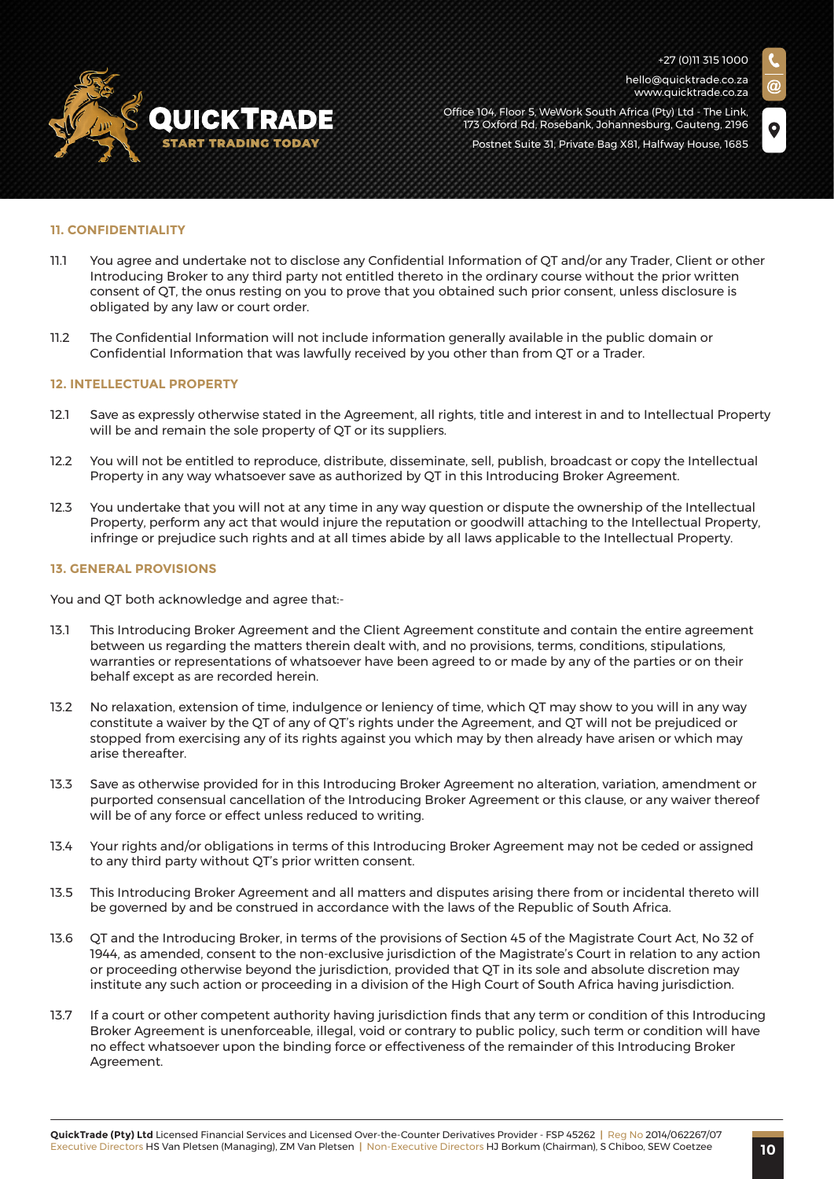

hello@quicktrade.co.za www.quicktrade.co.za

Office 104, Floor 5, WeWork South Africa (Pty) Ltd - The Link, 173 Oxford Rd, Rosebank, Johannesburg, Gauteng, 2196 Postnet Suite 31, Private Bag X81, Halfway House, 1685

#### **11. CONFIDENTIALITY**

- 11.1 You agree and undertake not to disclose any Confidential Information of QT and/or any Trader, Client or other Introducing Broker to any third party not entitled thereto in the ordinary course without the prior written consent of QT, the onus resting on you to prove that you obtained such prior consent, unless disclosure is obligated by any law or court order.
- 11.2 The Confidential Information will not include information generally available in the public domain or Confidential Information that was lawfully received by you other than from QT or a Trader.

#### **12. INTELLECTUAL PROPERTY**

- 12.1 Save as expressly otherwise stated in the Agreement, all rights, title and interest in and to Intellectual Property will be and remain the sole property of QT or its suppliers.
- 12.2 You will not be entitled to reproduce, distribute, disseminate, sell, publish, broadcast or copy the Intellectual Property in any way whatsoever save as authorized by QT in this Introducing Broker Agreement.
- 12.3 You undertake that you will not at any time in any way question or dispute the ownership of the Intellectual Property, perform any act that would injure the reputation or goodwill attaching to the Intellectual Property, infringe or prejudice such rights and at all times abide by all laws applicable to the Intellectual Property.

#### **13. GENERAL PROVISIONS**

You and QT both acknowledge and agree that:-

- 13.1 This Introducing Broker Agreement and the Client Agreement constitute and contain the entire agreement between us regarding the matters therein dealt with, and no provisions, terms, conditions, stipulations, warranties or representations of whatsoever have been agreed to or made by any of the parties or on their behalf except as are recorded herein.
- 13.2 No relaxation, extension of time, indulgence or leniency of time, which QT may show to you will in any way constitute a waiver by the QT of any of QT's rights under the Agreement, and QT will not be prejudiced or stopped from exercising any of its rights against you which may by then already have arisen or which may arise thereafter.
- 13.3 Save as otherwise provided for in this Introducing Broker Agreement no alteration, variation, amendment or purported consensual cancellation of the Introducing Broker Agreement or this clause, or any waiver thereof will be of any force or effect unless reduced to writing.
- 13.4 Your rights and/or obligations in terms of this Introducing Broker Agreement may not be ceded or assigned to any third party without QT's prior written consent.
- 13.5 This Introducing Broker Agreement and all matters and disputes arising there from or incidental thereto will be governed by and be construed in accordance with the laws of the Republic of South Africa.
- 13.6 QT and the Introducing Broker, in terms of the provisions of Section 45 of the Magistrate Court Act, No 32 of 1944, as amended, consent to the non-exclusive jurisdiction of the Magistrate's Court in relation to any action or proceeding otherwise beyond the jurisdiction, provided that QT in its sole and absolute discretion may institute any such action or proceeding in a division of the High Court of South Africa having jurisdiction.
- 13.7 If a court or other competent authority having jurisdiction finds that any term or condition of this Introducing Broker Agreement is unenforceable, illegal, void or contrary to public policy, such term or condition will have no effect whatsoever upon the binding force or effectiveness of the remainder of this Introducing Broker Agreement.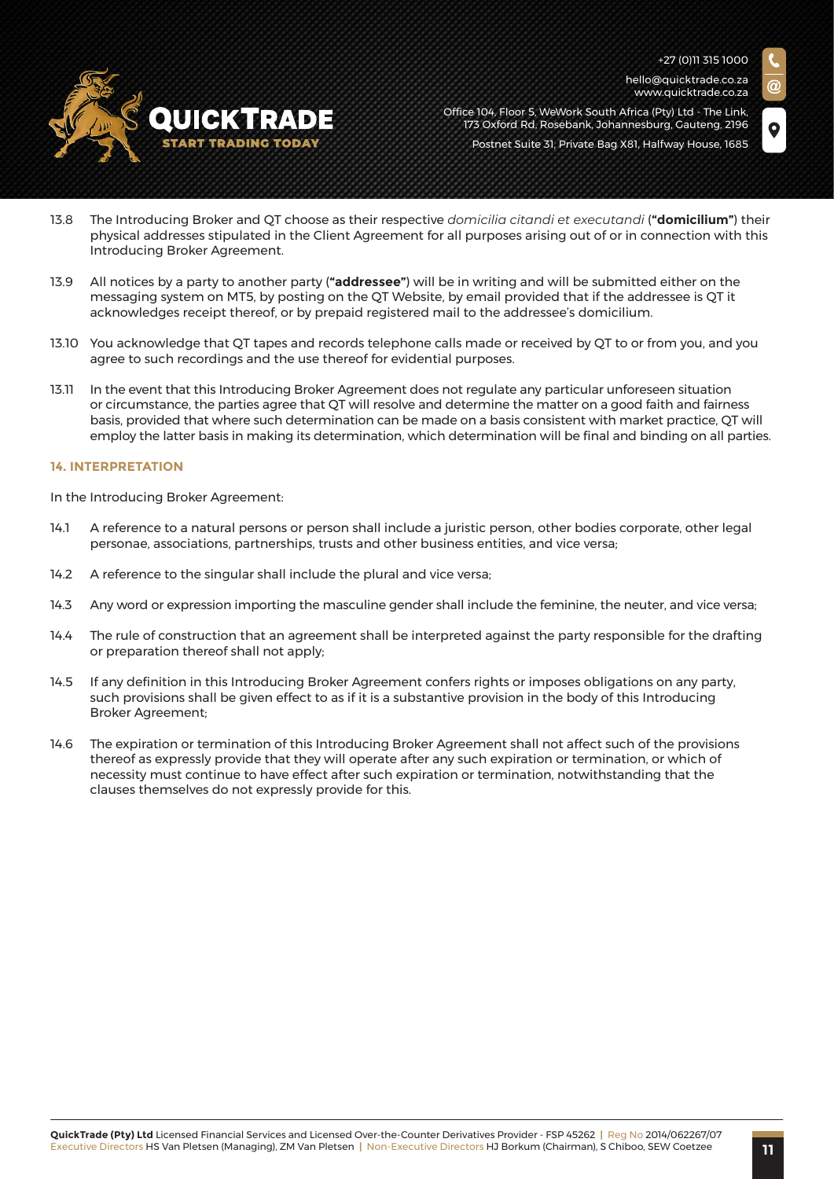

+27 (0)11 315 1000 hello@quicktrade.co.za www.quicktrade.co.za

Office 104, Floor 5, WeWork South Africa (Pty) Ltd - The Link, 173 Oxford Rd, Rosebank, Johannesburg, Gauteng, 2196 Postnet Suite 31, Private Bag X81, Halfway House, 1685

- 13.8 The Introducing Broker and QT choose as their respective *domicilia citandi et executandi* (**"domicilium"**) their physical addresses stipulated in the Client Agreement for all purposes arising out of or in connection with this Introducing Broker Agreement.
- 13.9 All notices by a party to another party (**"addressee"**) will be in writing and will be submitted either on the messaging system on MT5, by posting on the QT Website, by email provided that if the addressee is QT it acknowledges receipt thereof, or by prepaid registered mail to the addressee's domicilium.
- 13.10 You acknowledge that QT tapes and records telephone calls made or received by QT to or from you, and you agree to such recordings and the use thereof for evidential purposes.
- 13.11 In the event that this Introducing Broker Agreement does not regulate any particular unforeseen situation or circumstance, the parties agree that QT will resolve and determine the matter on a good faith and fairness basis, provided that where such determination can be made on a basis consistent with market practice, QT will employ the latter basis in making its determination, which determination will be final and binding on all parties.

#### **14. INTERPRETATION**

In the Introducing Broker Agreement:

- 14.1 A reference to a natural persons or person shall include a juristic person, other bodies corporate, other legal personae, associations, partnerships, trusts and other business entities, and vice versa;
- 14.2 A reference to the singular shall include the plural and vice versa:
- 14.3 Any word or expression importing the masculine gender shall include the feminine, the neuter, and vice versa;
- 14.4 The rule of construction that an agreement shall be interpreted against the party responsible for the drafting or preparation thereof shall not apply;
- 14.5 If any definition in this Introducing Broker Agreement confers rights or imposes obligations on any party, such provisions shall be given effect to as if it is a substantive provision in the body of this Introducing Broker Agreement;
- 14.6 The expiration or termination of this Introducing Broker Agreement shall not affect such of the provisions thereof as expressly provide that they will operate after any such expiration or termination, or which of necessity must continue to have effect after such expiration or termination, notwithstanding that the clauses themselves do not expressly provide for this.